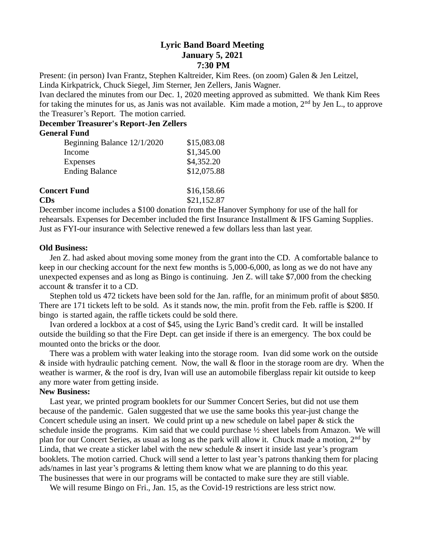# **Lyric Band Board Meeting January 5, 2021 7:30 PM**

Present: (in person) Ivan Frantz, Stephen Kaltreider, Kim Rees. (on zoom) Galen & Jen Leitzel,

Linda Kirkpatrick, Chuck Siegel, Jim Sterner, Jen Zellers, Janis Wagner.

Ivan declared the minutes from our Dec. 1, 2020 meeting approved as submitted. We thank Kim Rees for taking the minutes for us, as Janis was not available. Kim made a motion,  $2<sup>nd</sup>$  by Jen L., to approve the Treasurer's Report. The motion carried.

## **December Treasurer's Report-Jen Zellers**

### **General Fund**

| Beginning Balance 12/1/2020 | \$15,083.08 |
|-----------------------------|-------------|
| Income                      | \$1,345.00  |
| Expenses                    | \$4,352.20  |
| <b>Ending Balance</b>       | \$12,075.88 |
|                             |             |

| <b>Concert Fund</b> | \$16,158.66 |
|---------------------|-------------|
| CDs                 | \$21,152.87 |
|                     |             |

December income includes a \$100 donation from the Hanover Symphony for use of the hall for rehearsals. Expenses for December included the first Insurance Installment & IFS Gaming Supplies. Just as FYI-our insurance with Selective renewed a few dollars less than last year.

### **Old Business:**

 Jen Z. had asked about moving some money from the grant into the CD. A comfortable balance to keep in our checking account for the next few months is 5,000-6,000, as long as we do not have any unexpected expenses and as long as Bingo is continuing. Jen Z. will take \$7,000 from the checking account & transfer it to a CD.

 Stephen told us 472 tickets have been sold for the Jan. raffle, for an minimum profit of about \$850. There are 171 tickets left to be sold. As it stands now, the min. profit from the Feb. raffle is \$200. If bingo is started again, the raffle tickets could be sold there.

 Ivan ordered a lockbox at a cost of \$45, using the Lyric Band's credit card. It will be installed outside the building so that the Fire Dept. can get inside if there is an emergency. The box could be mounted onto the bricks or the door.

 There was a problem with water leaking into the storage room. Ivan did some work on the outside  $\&$  inside with hydraulic patching cement. Now, the wall  $\&$  floor in the storage room are dry. When the weather is warmer, & the roof is dry, Ivan will use an automobile fiberglass repair kit outside to keep any more water from getting inside.

#### **New Business:**

 Last year, we printed program booklets for our Summer Concert Series, but did not use them because of the pandemic. Galen suggested that we use the same books this year-just change the Concert schedule using an insert. We could print up a new schedule on label paper & stick the schedule inside the programs. Kim said that we could purchase  $\frac{1}{2}$  sheet labels from Amazon. We will plan for our Concert Series, as usual as long as the park will allow it. Chuck made a motion, 2nd by Linda, that we create a sticker label with the new schedule & insert it inside last year's program booklets. The motion carried. Chuck will send a letter to last year's patrons thanking them for placing ads/names in last year's programs & letting them know what we are planning to do this year. The businesses that were in our programs will be contacted to make sure they are still viable.

We will resume Bingo on Fri., Jan. 15, as the Covid-19 restrictions are less strict now.